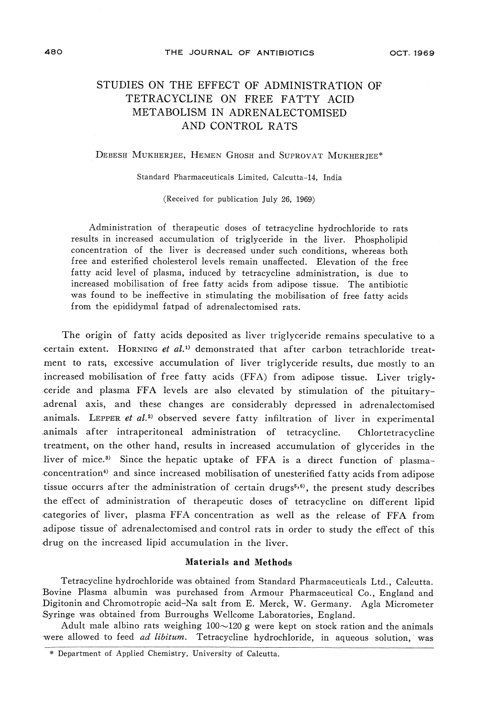# 48O THE JOURNAL OF ANTIBIOTICS OCT. 1969

# STUDIES ON THE EFFECT OF ADMINISTRATION OF TETRACYCLINE ON FREE FATTY ACID METABOLISM IN ADRENALECTOMISED AND CONTROL RATS

### Debesh Mukherjee, Hemen Ghosh and Suprovat Mukherjee\*

Standard Pharmaceuticals Limited, Calcutta-14, India

(Received for publication July 26, 1969)

Administration of therapeutic doses of tetracycline hydrochloride to rats results in increased accumulation of triglyceride in the liver. Phospholipid free and esterified cholesterol levels remain unaffected. Elevation of the free fatty acid level of plasma, induced by tetracycline administration, is due to was found to be ineffective in stimulating the mobilisation of free fatty acids from the enididymal fattor of adrenalectomised rate from the epidemic father father father father  $\mathbf{f}$ 

The origin of fatty acids deposited as liver triglyceride remains speculative to a certain extent. HORNING et al.<sup>1)</sup> demonstrated that after carbon tetrachloride treat-<br>ment to rats, excessive accumulation of liver triglyceride results, due mostly to an increased mobilisation of free fatty acids (FFA) from adipose tissue. Liver trigly- $\frac{1}{1}$  from a free factor of  $\frac{1}{1}$  free factor  $\frac{1}{1}$  free factor  $\frac{1}{1}$  free factor  $\frac{1}{1}$  free factor  $\frac{1}{1}$  free factor  $\frac{1}{1}$  free factor  $\frac{1}{1}$  free factor  $\frac{1}{1}$  free factor  $\frac{1}{1}$  fre ceride and plasma  $FFA$  levels are also elevated by stimulation of the pituitaryadrenal axis, and these changes are considerably depressed in adrenalectomised animals. LEPPER et  $al.^2$  observed severe fatty infiltration of liver in experimental animals after intraperitoneal administration of tetracycline. Chlortetracycline treatment, on the other hand, results in increased accumulation of glycerides in the liver of mice.<sup>3)</sup> Since the hepatic uptake of FFA is a direct function of plasmaconcentration<sup>4)</sup> and since increased mobilisation of unesterified fatty acids from adipose concentration and since increased mobilisation of unesterified fatty activities increased from adiposition adiposition of unesterified from a strategies of unesterified from a strategies of unesterified from a strategies o tissue occurrs after the administration of certain drugs<sup>333</sup>, the present study describ the effect of administration of therapeutic doses of tetracycline on different lipid categories of liver, plasma FFA concentration as well as the release of FFA from adipose the increased limid accumulation to the theory the effect of this discussed and control rats in order this increase of this control ratio of this control ratio of this control of this control of this control of thi drug on the increased lipid accumulation in the live.

### Materials and Methods

Tetracycline hydrochloride was obtained from Standard Pharmaceuticals Ltd., Calcutta. Digitonin and Chromotropic acid-Na salt from E. Merck, W. Germany. Agla Micrometer Syringe was obtained from Burroughs Wellcome Laboratories, England.

Adult male albino rats weighing  $100 \sim 120$  g were kept on stock ration and the animals were allowed to feed *ad libitum*. Tetracycline hydrochloride, in aqueous solution, was

<sup>\*</sup> Department of Applied Chemistry, University of Calcutta.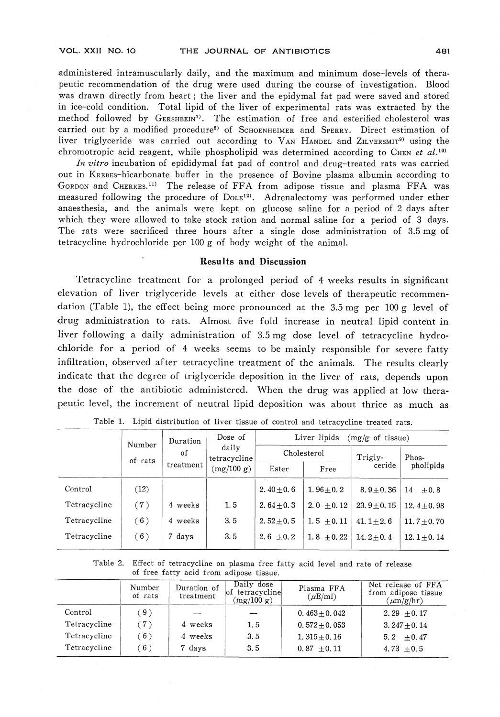administered intramuscularly daily, and the maximum and minimum dose-levels of thera-<br>peutic recommendation of the drug were used during the course of investigation. Blood was drawn directly from heart; the liver and the epidymal fat pad were saved and stored in ice-cold condition. Total lipid of the liver of experimental rats was extracted by the method followed by  $G$ ERSHBEIN<sup>7</sup>. The estimation of free and esterified cholesterol was carried out by a modified procedure<sup>8</sup> of  $S$ CHOENHEIMER and  $S$ PERRY. Direct estimation of nation on by a modified procedure of Schoenheimer and Speaker. Brice estimation of

chromotropic acid reagent, while phospholipid was determined according to CHEN et al.<sup>10</sup><br>In vitro incubation of epididymal fat pad of control and drug-treated rats was carried out in KREBES-bicarbonate buffer in the presence of Bovine plasma albumin according to CORDON and CHERKES.<sup>11)</sup> The release of FFA from adipose tissue and plasma FFA was measured following the procedure of Dole12. A reachasterized may performed under our The rats were sacrificed three hours after a single dose administration of 3.5 mg of tetracycline hydrochloride per 100 g of body weight of the animal.

## Results and Discussion

 $T_{\text{c}}$ elevation of liver triglyceride levels at either dose levels of therapeutic recommen- $\frac{1}{2}$  , the effect being more pronounced at the 3.5mg per 100g level of  $\frac{1}{2}$ drug administration to rats. Almost five fold increase in neutral lipid content in liver following a daily administration of 3.5 mg dose level of tetracycline hydro-<br>chloride for a period of 4 weeks seems to be mainly responsible for severe fatty infiltration, observed after tetracycline treatment of the animals. The results clearly indicate that the degree of triglyceride deposition in the liver of rats, depends upon the dose of the antibiotic administered. When the drug was applied at low thera $t_{\text{total}}$  does of the antibiotic administered. When the antigonal applied at low therapeutic level, the increment of neutral lipid deposition was about thrice as much as

|              | Number        | Duration  | Dose of<br>daily<br>tetracycline<br>(mg/100 g) | Liver lipids<br>$(mg/g \text{ of tissue})$ |                |                |                    |  |  |
|--------------|---------------|-----------|------------------------------------------------|--------------------------------------------|----------------|----------------|--------------------|--|--|
|              | of<br>of rats |           |                                                |                                            | Cholesterol    | Trigly-        | Phos-<br>pholipids |  |  |
|              |               | treatment |                                                | Ester                                      | Free           | ceride         |                    |  |  |
| Control      | (12)          |           |                                                | 2.40 $\pm$ 0.6                             | $1.96 \pm 0.2$ | $8.9 + 0.36$   | 14<br>$+0.8$       |  |  |
| Tetracycline | (7)           | 4 weeks   | 1.5                                            | $2.64 \pm 0.3$                             | $2.0 + 0.12$   | $23.9 + 0.15$  | 12.4 $\pm$ 0.98    |  |  |
| Tetracycline | (6)           | 4 weeks   | 3.5                                            | $2.52 \pm 0.5$                             | $1.5 \pm 0.11$ | 41.1 $\pm 2.6$ | 11.7 $\pm$ 0.70    |  |  |
| Tetracycline | (6)           | 7 days    | 3.5                                            | 2.6 $\pm$ 0.2                              | $1.8 \pm 0.22$ | $14.2 \pm 0.4$ | $12.1 + 0.14$      |  |  |

|  |  |  |  | Table 1. Lipid distribution of liver tissue of control and tetracycline treated rats. |  |
|--|--|--|--|---------------------------------------------------------------------------------------|--|
|  |  |  |  |                                                                                       |  |

Table 2. Effect of tetracycline on plasma free fatty acid level and rate of release of free fatty acid from adipose tissue.

|              | Number<br>of rats | Duration of<br>treatment | Daily dose<br>of tetracycline<br>(mg/100 g) | Plasma FFA<br>$(\mu E/ml)$ | Net release of FFA<br>from adipose tissue<br>$(\mu m/g/hr)$ |
|--------------|-------------------|--------------------------|---------------------------------------------|----------------------------|-------------------------------------------------------------|
| Control      | ∶ 9               |                          |                                             | $0.463 + 0.042$            | 2.29 $\pm$ 0.17                                             |
| Tetracycline | (7)               | 4 weeks                  | 1.5                                         | $0.572 + 0.053$            | $3.247 + 0.14$                                              |
| Tetracycline | (6)               | 4 weeks                  | 3.5                                         | $1.315 + 0.16$             | $5.2 + 0.47$                                                |
| Tetracycline | (6)               | 7 days                   | 3.5                                         | $0.87 + 0.11$              | $4.73 + 0.5$                                                |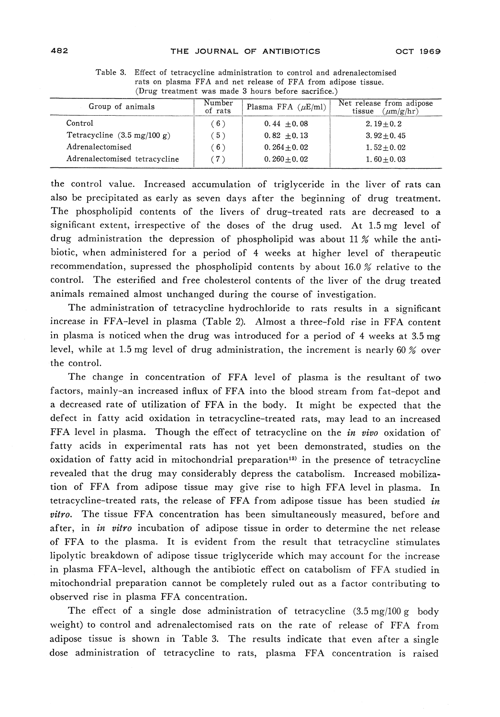| Group of animals                              | Number<br>of rats | Plasma FFA $(\mu E/ml)$ | Net release from adipose<br>$(\mu m/g/hr)$<br>tissue |
|-----------------------------------------------|-------------------|-------------------------|------------------------------------------------------|
| Control                                       | (6)               | $0.44 \pm 0.08$         | $2.19 + 0.2$                                         |
| Tetracycline $(3.5 \text{ mg}/100 \text{ g})$ | (5)               | $0.82 + 0.13$           | 3.92 $\pm$ 0.45                                      |
| Adrenalectomised                              | (6)               | $0.264 + 0.02$          | $1.52 \pm 0.02$                                      |
| Adrenalectomised tetracycline                 | (7)               | $0.260 + 0.02$          | $1.60 \pm 0.03$                                      |

Table 3. Effect of tetracycline administration to control and adrenalectomised rats on plasma FFA and net release of FFA from adipose tissue. rats on plasma FFA and net release of FFA from adipose tissue.

the control value. Increased accumulation of triglyceride in the liver of rats can also be precipitated as early as seven days after the beginning of drug treatment. The phospholipid contents of the livers of drug-treated rats are decreased to a significant extent, irrespective of the doses of the drug used. At 1.5 mg level of drug administration the depression of phospholipid was about 11 % while the antibiotic, when administered for a period of 4 weeks at higher level of therapeutic recommendation, supressed the phospholipid contents by about 16.0 % relative to the  $\frac{1}{2}$  recommendation, suppressed the photophological contents of the lines of the discussion of control. The esternied and free cholesterol contents of the liver of the drug treate animals remained almost unchanged during the course of investigation.

The administration of tetracycline hydrochloride to rats results in a significant increase in FFA-level in plasma (Table 2). Almost a three-fold rise in FFA content<br>in plasma is noticed when the drug was introduced for a period of 4 weeks at 3.5 mg in player is not continued when the drug was introduced was introduced was introduced for a period of  $4$  weeks at 3.5 mg and  $\frac{15}{1.5}$  mg and  $\frac{1}{2}$  for a period of  $4$  weeks at 3.5 mg and  $\frac{1}{2}$  for a period of level, while at 1.5 mg level of drug administration, the increment is nearly 60 % over the control.

The change in concentration of FFA level of plasma is the resultant of two<br>factors, mainly-an increased influx of FFA into the blood stream from fat-depot and factors, mainly-announced increased increased increased increased increased increased increased increased increased increased increased increased increased increased increased increased increased increased in  $\mathcal{L}_\text{c}$ a decreased rate of utilization of FFA in the body. It might be expected that the defect in fatty acid oxidation in tetracycline-treated rats, may lead to an increased FFA level in plasma. Though the effect of tetracycline on the in vivo oxidation of fatty acids in experimental rats has not yet been demonstrated, studies on the oxidation of fatty acid in mitochondrial preparation<sup>13)</sup> in the presence of tetracycline revealed that the drug may considerably depress the catabolism. Increased mobiliza $r_{\text{min}}$  of  $\text{FEA}_{\text{min}}$  from adipage tigue may give rise to bigh  $\text{FEA}_{\text{min}}$  level in planne. It tion of FFA from adipose tissue may give rise to high FFA level in plasma. In tetracycline-treated rats, the release of FFA from adipose tissue has been studied *in*<br>vitro. The tissue FFA concentration has been simultaneously measured, before and  $\epsilon$  the tissue  $\epsilon$  tissue  $\epsilon$  of tissue  $\epsilon$  and  $\epsilon$  and  $\epsilon$  and  $\epsilon$  and  $\epsilon$  and  $\epsilon$  and  $\epsilon$  and  $\epsilon$  and  $\epsilon$  and  $\epsilon$  and  $\epsilon$  and  $\epsilon$  and  $\epsilon$  and  $\epsilon$  and  $\epsilon$  and  $\epsilon$  and  $\epsilon$  and  $\epsilon$  and  $\epsilon$  and  $\epsilon$  an after, in *in viero* incubation of adipose tissue in order to determine the net release of FFA to the plasma. It is evident from the result that tetracycline stimulates<br>lipolytic breakdown of adipose tissue triglyceride which may account for the increase  $\frac{1}{\sqrt{1-\frac{1}{\sqrt{1-\frac{1}{\sqrt{1-\frac{1}{\sqrt{1-\frac{1}{\sqrt{1-\frac{1}{\sqrt{1-\frac{1}{\sqrt{1-\frac{1}{\sqrt{1-\frac{1}{\sqrt{1-\frac{1}{\sqrt{1-\frac{1}{\sqrt{1-\frac{1}{\sqrt{1-\frac{1}{\sqrt{1-\frac{1}{\sqrt{1-\frac{1}{\sqrt{1-\frac{1}{\sqrt{1-\frac{1}{\sqrt{1-\frac{1}{\sqrt{1-\frac{1}{\sqrt{1-\frac{1}{\sqrt{1-\frac{1}{\sqrt{1-\frac{1}{\sqrt{1-\frac{1}{\sqrt{1-\frac{1}{\sqrt{1-\frac{1$ in plasma FFA-level, although the antibiotic effect on catabolism of FFA studied in mitochondrial preparation cannot be completely ruled out as a factor contributing to observed rise in plasma FFA concentration.

The effect of a single dose administration of tetracycline  $(3.5 \text{ mg}/100 \text{ g}$  body weight) to control and adrenalectomised rats on the rate of release of FFA from adipose tissue is shown in Table 3. The results indicate that even after a single dose administration of tetracycline to rats, plasma FFA concentration is raised